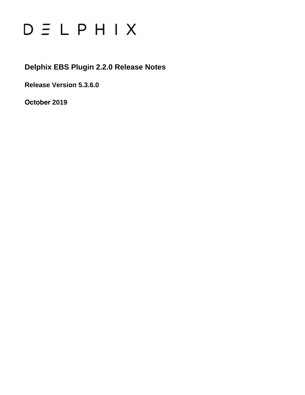# $D \subseteq L$   $P$   $H$   $I$   $X$

**Delphix EBS Plugin 2.2.0 Release Notes**

**Release Version 5.3.6.0**

**October 2019**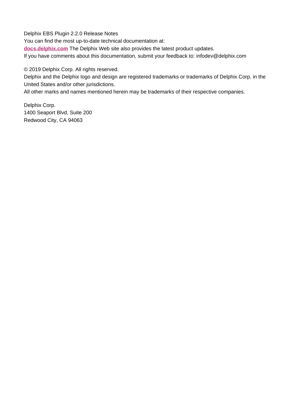Delphix EBS Plugin 2.2.0 Release Notes You can find the most up-to-date technical documentation at: **[docs.delphix.com](http://docs.delphix.com)** The Delphix Web site also provides the latest product updates. If you have comments about this documentation, submit your feedback to: infodev@delphix.com

© 2019 Delphix Corp. All rights reserved.

Delphix and the Delphix logo and design are registered trademarks or trademarks of Delphix Corp. in the United States and/or other jurisdictions.

All other marks and names mentioned herein may be trademarks of their respective companies.

Delphix Corp. 1400 Seaport Blvd, Suite 200 Redwood City, CA 94063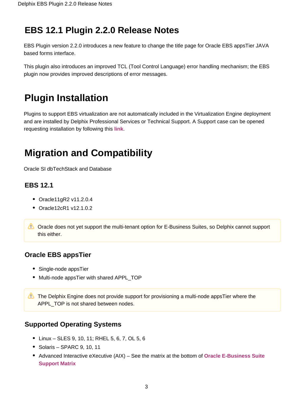## **EBS 12.1 Plugin 2.2.0 Release Notes**

EBS Plugin version 2.2.0 introduces a new feature to change the title page for Oracle EBS appsTier JAVA based forms interface.

This plugin also introduces an improved TCL (Tool Control Language) error handling mechanism; the EBS plugin now provides improved descriptions of error messages.

# **Plugin Installation**

Plugins to support EBS virtualization are not automatically included in the Virtualization Engine deployment and are installed by Delphix Professional Services or Technical Support. A Support case can be opened requesting installation by following this **[link](http://support-tickets.delphix.com/)**.

# **Migration and Compatibility**

Oracle SI dbTechStack and Database

## **EBS 12.1**

- Oracle11gR2 v11.2.0.4
- Oracle12cR1 v12.1.0.2
- **Conserverse on Support Support the multi-tenant option for E-Business Suites, so Delphix cannot support** this either.

## **Oracle EBS appsTier**

- Single-node appsTier
- Multi-node appsTier with shared APPL TOP
- The Delphix Engine does not provide support for provisioning a multi-node appsTier where the APPL TOP is not shared between nodes.

## **Supported Operating Systems**

- Linux SLES 9, 10, 11; RHEL 5, 6, 7, OL 5, 6
- Solaris SPARC 9, 10, 11
- Advanced Interactive eXecutive (AIX) See the matrix at the bottom of **[Oracle E-Business Suite](https://docs.delphix.com/display/DOCS535/Oracle+E-Business+Suite+Support+Matrix)  [Support Matrix](https://docs.delphix.com/display/DOCS535/Oracle+E-Business+Suite+Support+Matrix)**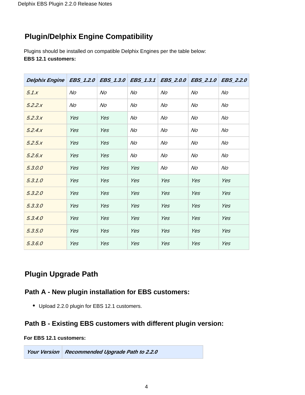## **Plugin/Delphix Engine Compatibility**

Plugins should be installed on compatible Delphix Engines per the table below: **EBS 12.1 customers:**

| Delphix Engine   EBS_1.2.0   EBS_1.3.0   EBS_1.3.1   EBS_2.0.0   EBS_2.1.0   EBS_2.2.0 |     |     |     |     |     |     |
|----------------------------------------------------------------------------------------|-----|-----|-----|-----|-----|-----|
| 5.1.x                                                                                  | No  | No  | No  | No  | No  | No  |
| 5.2.2.x                                                                                | No  | No  | No  | No  | No  | No  |
| 5.2.3.x                                                                                | Yes | Yes | No  | No  | No  | No  |
| 5.2.4.x                                                                                | Yes | Yes | No  | No  | No  | No  |
| 5.2.5x                                                                                 | Yes | Yes | No  | No  | No  | No  |
| 5.2.6x                                                                                 | Yes | Yes | No  | No  | No  | No  |
| 5.3.0.0                                                                                | Yes | Yes | Yes | No  | No  | No  |
| 5.3.1.0                                                                                | Yes | Yes | Yes | Yes | Yes | Yes |
| 5.3.2.0                                                                                | Yes | Yes | Yes | Yes | Yes | Yes |
| 5.3.3.0                                                                                | Yes | Yes | Yes | Yes | Yes | Yes |
| 5.3.4.0                                                                                | Yes | Yes | Yes | Yes | Yes | Yes |
| 5.3.5.0                                                                                | Yes | Yes | Yes | Yes | Yes | Yes |
| 5.3.6.0                                                                                | Yes | Yes | Yes | Yes | Yes | Yes |

## **Plugin Upgrade Path**

## **Path A - New plugin installation for EBS customers:**

• Upload 2.2.0 plugin for EBS 12.1 customers.

## **Path B - Existing EBS customers with different plugin version:**

#### **For EBS 12.1 customers:**

**Your Version Recommended Upgrade Path to 2.2.0**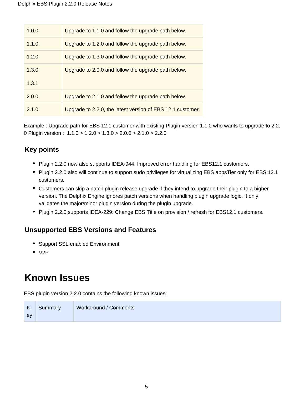| 1.0.0 | Upgrade to 1.1.0 and follow the upgrade path below.        |
|-------|------------------------------------------------------------|
| 1.1.0 | Upgrade to 1.2.0 and follow the upgrade path below.        |
| 1.2.0 | Upgrade to 1.3.0 and follow the upgrade path below.        |
| 1.3.0 | Upgrade to 2.0.0 and follow the upgrade path below.        |
| 1.3.1 |                                                            |
| 2.0.0 | Upgrade to 2.1.0 and follow the upgrade path below.        |
| 2.1.0 | Upgrade to 2.2.0, the latest version of EBS 12.1 customer. |

Example : Upgrade path for EBS 12.1 customer with existing Plugin version 1.1.0 who wants to upgrade to 2.2. 0 Plugin version : 1.1.0 > 1.2.0 > 1.3.0 > 2.0.0 > 2.1.0 > 2.2.0

## **Key points**

- Plugin 2.2.0 now also supports IDEA-944: Improved error handling for EBS12.1 customers.
- Plugin 2.2.0 also will continue to support sudo privileges for virtualizing EBS appsTier only for EBS 12.1 customers.
- Customers can skip a patch plugin release upgrade if they intend to upgrade their plugin to a higher version. The Delphix Engine ignores patch versions when handling plugin upgrade logic. It only validates the major/minor plugin version during the plugin upgrade.
- Plugin 2.2.0 supports IDEA-229: Change EBS Title on provision / refresh for EBS12.1 customers.

## **Unsupported EBS Versions and Features**

- Support SSL enabled Environment
- $\bullet$  V2P

# **Known Issues**

EBS plugin version 2.2.0 contains the following known issues:

| K  | Summary | Workaround / Comments |
|----|---------|-----------------------|
| ev |         |                       |